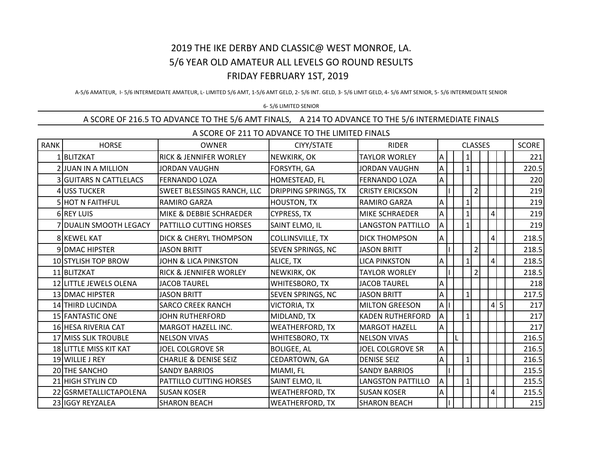## 2019 THE IKE DERBY AND CLASSIC@ WEST MONROE, LA. 5/6 YEAR OLD AMATEUR ALL LEVELS GO ROUND RESULTS FRIDAY FEBRUARY 1ST, 2019

A-5/6 AMATEUR, I- 5/6 INTERMEDIATE AMATEUR, L- LIMITED 5/6 AMT, 1-5/6 AMT GELD, 2- 5/6 INT. GELD, 3- 5/6 LIMIT GELD, 4- 5/6 AMT SENIOR, 5- 5/6 INTERMEDIATE SENIOR

## 6- 5/6 LIMITED SENIOR

## A SCORE OF 216.5 TO ADVANCE TO THE 5/6 AMT FINALS, A 214 TO ADVANCE TO THE 5/6 INTERMEDIATE FINALS

| A SCORE OF 211 TO ADVANCE TO THE LIMITED FINALS |                               |                                    |                             |                          |              |  |                 |                |  |                |     |       |
|-------------------------------------------------|-------------------------------|------------------------------------|-----------------------------|--------------------------|--------------|--|-----------------|----------------|--|----------------|-----|-------|
| <b>RANK</b>                                     | <b>HORSE</b>                  | <b>OWNER</b>                       | CIYY/STATE                  | <b>RIDER</b>             |              |  | <b>CLASSES</b>  | SCORE          |  |                |     |       |
|                                                 | 1BLITZKAT                     | <b>RICK &amp; JENNIFER WORLEY</b>  | NEWKIRK, OK                 | <b>TAYLOR WORLEY</b>     | Α            |  | $\mathbf{1}$    |                |  |                |     | 221   |
|                                                 | 2 JUAN IN A MILLION           | <b>JORDAN VAUGHN</b>               | FORSYTH, GA                 | <b>JORDAN VAUGHN</b>     | Α            |  | $1\overline{ }$ |                |  |                |     | 220.5 |
|                                                 | <b>3 GUITARS N CATTLELACS</b> | <b>FERNANDO LOZA</b>               | HOMESTEAD, FL               | <b>FERNANDO LOZA</b>     | A            |  |                 |                |  |                |     | 220   |
|                                                 | 4 USS TUCKER                  | <b>SWEET BLESSINGS RANCH, LLC</b>  | <b>DRIPPING SPRINGS, TX</b> | <b>CRISTY ERICKSON</b>   |              |  |                 | $\overline{2}$ |  |                |     | 219   |
|                                                 | <b>5 HOT N FAITHFUL</b>       | RAMIRO GARZA                       | <b>HOUSTON, TX</b>          | RAMIRO GARZA             | Α            |  |                 |                |  |                |     | 219   |
|                                                 | <b>6 REY LUIS</b>             | <b>MIKE &amp; DEBBIE SCHRAEDER</b> | <b>CYPRESS, TX</b>          | MIKE SCHRAEDER           | Α            |  | 1               |                |  | 4 <sup>1</sup> |     | 219   |
|                                                 | 7 DUALIN SMOOTH LEGACY        | PATTILLO CUTTING HORSES            | SAINT ELMO, IL              | LANGSTON PATTILLO        | Α            |  |                 |                |  |                |     | 219   |
|                                                 | 8 KEWEL KAT                   | <b>DICK &amp; CHERYL THOMPSON</b>  | <b>COLLINSVILLE, TX</b>     | <b>DICK THOMPSON</b>     | A            |  |                 |                |  | 4 <sup>1</sup> |     | 218.5 |
|                                                 | 9 DMAC HIPSTER                | <b>JASON BRITT</b>                 | SEVEN SPRINGS, NC           | <b>JASON BRITT</b>       |              |  |                 | $\overline{2}$ |  |                |     | 218.5 |
|                                                 | 10 STYLISH TOP BROW           | JOHN & LICA PINKSTON               | ALICE, TX                   | <b>LICA PINKSTON</b>     | Α            |  | $\mathbf{1}$    |                |  | $\frac{4}{3}$  |     | 218.5 |
|                                                 | 11 BLITZKAT                   | <b>RICK &amp; JENNIFER WORLEY</b>  | NEWKIRK, OK                 | <b>TAYLOR WORLEY</b>     |              |  |                 | $\overline{2}$ |  |                |     | 218.5 |
|                                                 | 12 LITTLE JEWELS OLENA        | <b>JACOB TAUREL</b>                | WHITESBORO, TX              | <b>JACOB TAUREL</b>      | А            |  |                 |                |  |                |     | 218   |
|                                                 | 13 DMAC HIPSTER               | <b>JASON BRITT</b>                 | <b>SEVEN SPRINGS, NC</b>    | <b>JASON BRITT</b>       | Α            |  | $\mathbf{1}$    |                |  |                |     | 217.5 |
|                                                 | <b>14 THIRD LUCINDA</b>       | <b>SARCO CREEK RANCH</b>           | <b>VICTORIA, TX</b>         | <b>MILTON GREESON</b>    | $\mathsf{A}$ |  |                 |                |  |                | 4 5 | 217   |
|                                                 | 15 FANTASTIC ONE              | <b>JOHN RUTHERFORD</b>             | MIDLAND, TX                 | <b>KADEN RUTHERFORD</b>  | Α            |  | $1\vert$        |                |  |                |     | 217   |
|                                                 | 16 HESA RIVERIA CAT           | <b>MARGOT HAZELL INC.</b>          | <b>WEATHERFORD, TX</b>      | <b>MARGOT HAZELL</b>     | Α            |  |                 |                |  |                |     | 217   |
|                                                 | 17 MISS SLIK TROUBLE          | <b>NELSON VIVAS</b>                | WHITESBORO, TX              | <b>NELSON VIVAS</b>      |              |  |                 |                |  |                |     | 216.5 |
|                                                 | 18 LITTLE MISS KIT KAT        | <b>JOEL COLGROVE SR</b>            | <b>BOLIGEE, AL</b>          | <b>JOEL COLGROVE SR</b>  | A            |  |                 |                |  |                |     | 216.5 |
|                                                 | 19 WILLIE J REY               | <b>CHARLIE &amp; DENISE SEIZ</b>   | CEDARTOWN, GA               | <b>DENISE SEIZ</b>       | Α            |  | $\mathbf{1}$    |                |  |                |     | 216.5 |
|                                                 | 20 THE SANCHO                 | <b>SANDY BARRIOS</b>               | MIAMI, FL                   | <b>SANDY BARRIOS</b>     |              |  |                 |                |  |                |     | 215.5 |
|                                                 | 21 HIGH STYLIN CD             | PATTILLO CUTTING HORSES            | SAINT ELMO, IL              | <b>LANGSTON PATTILLO</b> | A            |  | $1\vert$        |                |  |                |     | 215.5 |
| 22                                              | <b>GSRMETALLICTAPOLENA</b>    | <b>SUSAN KOSER</b>                 | <b>WEATHERFORD, TX</b>      | <b>SUSAN KOSER</b>       | Α            |  |                 |                |  | $\overline{4}$ |     | 215.5 |
|                                                 | 23 IGGY REYZALEA              | <b>SHARON BEACH</b>                | <b>WEATHERFORD, TX</b>      | <b>SHARON BEACH</b>      |              |  |                 |                |  |                |     | 215   |

A SCORE OF 211 TO ADVANCE TO THE LIMITED FINALS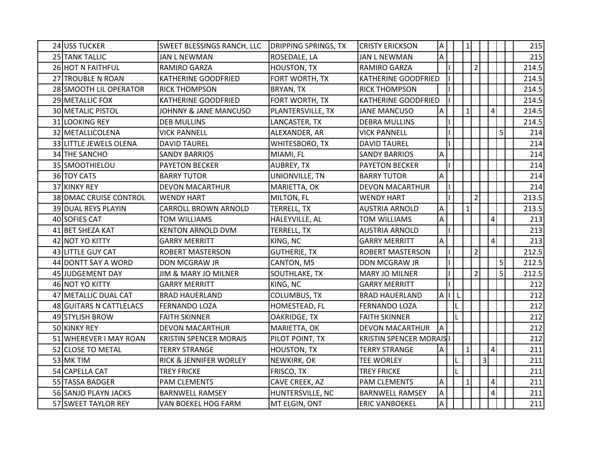| 24 USS TUCKER           | SWEET BLESSINGS RANCH, LLC      | <b>DRIPPING SPRINGS, TX</b> | <b>CRISTY ERICKSON</b>         | <b>A</b>                  |         | 1              |                |                |                | 215   |
|-------------------------|---------------------------------|-----------------------------|--------------------------------|---------------------------|---------|----------------|----------------|----------------|----------------|-------|
| 25 TANK TALLIC          | <b>JAN L NEWMAN</b>             | ROSEDALE, LA                | <b>JAN L NEWMAN</b>            | A                         |         |                |                |                |                | 215   |
| 26 HOT N FAITHFUL       | RAMIRO GARZA                    | <b>HOUSTON, TX</b>          | <b>RAMIRO GARZA</b>            |                           |         |                | $\overline{2}$ |                |                | 214.5 |
| 27 TROUBLE N ROAN       | <b>KATHERINE GOODFRIED</b>      | FORT WORTH, TX              | <b>KATHERINE GOODFRIED</b>     |                           |         |                |                |                |                | 214.5 |
| 28 SMOOTH LIL OPERATOR  | <b>RICK THOMPSON</b>            | BRYAN, TX                   | <b>RICK THOMPSON</b>           |                           |         |                |                |                |                | 214.5 |
| 29 METALLIC FOX         | KATHERINE GOODFRIED             | FORT WORTH, TX              | <b>KATHERINE GOODFRIED</b>     |                           |         |                |                |                |                | 214.5 |
| 30 METALIC PISTOL       | JOHNNY & JANE MANCUSO           | PLANTERSVILLE, TX           | <b>JANE MANCUSO</b>            | A                         |         | 1 <sup>1</sup> |                |                | $\overline{4}$ | 214.5 |
| 31 LOOKING REY          | <b>DEB MULLINS</b>              | LANCASTER, TX               | <b>DEBRA MULLINS</b>           |                           |         |                |                |                |                | 214.5 |
| 32 METALLICOLENA        | <b>VICK PANNELL</b>             | ALEXANDER, AR               | <b>VICK PANNELL</b>            |                           |         |                |                |                | 5 <sub>l</sub> | 214   |
| 33 LITTLE JEWELS OLENA  | <b>DAVID TAUREL</b>             | WHITESBORO, TX              | <b>DAVID TAUREL</b>            |                           |         |                |                |                |                | 214   |
| 34 THE SANCHO           | <b>SANDY BARRIOS</b>            | MIAMI, FL                   | <b>SANDY BARRIOS</b>           | A                         |         |                |                |                |                | 214   |
| 35 SMOOTHIELOU          | <b>PAYETON BECKER</b>           | AUBREY, TX                  | <b>PAYETON BECKER</b>          |                           |         |                |                |                |                | 214   |
| 36 TOY CATS             | <b>BARRY TUTOR</b>              | UNIONVILLE, TN              | <b>BARRY TUTOR</b>             | A                         |         |                |                |                |                | 214   |
| 37 KINKY REY            | <b>DEVON MACARTHUR</b>          | MARIETTA, OK                | <b>DEVON MACARTHUR</b>         |                           |         |                |                |                |                | 214   |
| 38 DMAC CRUISE CONTROL  | <b>WENDY HART</b>               | MILTON, FL                  | <b>WENDY HART</b>              |                           |         |                | $\overline{2}$ |                |                | 213.5 |
| 39 DUAL REYS PLAYIN     | <b>CARROLL BROWN ARNOLD</b>     | <b>TERRELL, TX</b>          | <b>AUSTRIA ARNOLD</b>          | Α                         |         | 1              |                |                |                | 213.5 |
| 40 SOFIES CAT           | <b>TOM WILLIAMS</b>             | HALEYVILLE, AL              | TOM WILLIAMS                   | A                         |         |                |                |                | 4              | 213   |
| 41 BET SHEZA KAT        | <b>KENTON ARNOLD DVM</b>        | <b>TERRELL, TX</b>          | <b>AUSTRIA ARNOLD</b>          |                           |         |                |                |                |                | 213   |
| 42 NOT YO KITTY         | <b>GARRY MERRITT</b>            | KING, NC                    | <b>GARRY MERRITT</b>           | $\boldsymbol{\mathsf{A}}$ |         |                |                |                | 4              | 213   |
| 43 LITTLE GUY CAT       | <b>ROBERT MASTERSON</b>         | <b>GUTHERIE, TX</b>         | <b>ROBERT MASTERSON</b>        |                           |         |                | $\overline{2}$ |                |                | 212.5 |
| 44 DONTT SAY A WORD     | DON MCGRAW JR                   | CANTON, MS                  | DON MCGRAW JR                  |                           |         |                |                |                | 5              | 212.5 |
| 45 JUDGEMENT DAY        | <b>JIM &amp; MARY JO MILNER</b> | SOUTHLAKE, TX               | <b>MARY JO MILNER</b>          |                           |         |                | $\overline{2}$ |                | 5              | 212.5 |
| 46 NOT YO KITTY         | <b>GARRY MERRITT</b>            | KING, NC                    | <b>GARRY MERRITT</b>           |                           |         |                |                |                |                | 212   |
| 47 METALLIC DUAL CAT    | <b>BRAD HAUERLAND</b>           | <b>COLUMBUS, TX</b>         | <b>BRAD HAUERLAND</b>          | AI                        | $\perp$ |                |                |                |                | 212   |
| 48 GUITARS N CATTLELACS | <b>FERNANDO LOZA</b>            | HOMESTEAD, FL               | <b>FERNANDO LOZA</b>           |                           |         |                |                |                |                | 212   |
| 49 STYLISH BROW         | <b>FAITH SKINNER</b>            | OAKRIDGE, TX                | <b>FAITH SKINNER</b>           |                           |         |                |                |                |                | 212   |
| 50 KINKY REY            | <b>DEVON MACARTHUR</b>          | MARIETTA, OK                | <b>DEVON MACARTHUR</b>         | İΑ                        |         |                |                |                |                | 212   |
| 51 WHEREVER I MAY ROAN  | <b>KRISTIN SPENCER MORAIS</b>   | PILOT POINT, TX             | <b>KRISTIN SPENCER MORAISI</b> |                           |         |                |                |                |                | 212   |
| 52 CLOSE TO METAL       | <b>TERRY STRANGE</b>            | <b>HOUSTON, TX</b>          | <b>TERRY STRANGE</b>           | <b>A</b>                  |         | 1              |                |                | $\overline{4}$ | 211   |
| 53 MK TIM               | RICK & JENNIFER WORLEY          | NEWKIRK, OK                 | <b>TEE WORLEY</b>              |                           |         |                |                | $\overline{3}$ |                | 211   |
| 54 CAPELLA CAT          | <b>TREY FRICKE</b>              | FRISCO, TX                  | <b>TREY FRICKE</b>             |                           |         |                |                |                |                | 211   |
| 55 TASSA BADGER         | PAM CLEMENTS                    | CAVE CREEK, AZ              | <b>PAM CLEMENTS</b>            | A                         |         | 1              |                |                | 4              | 211   |
| 56 SANJO PLAYN JACKS    | <b>BARNWELL RAMSEY</b>          | HUNTERSVILLE, NC            | <b>BARNWELL RAMSEY</b>         | $\boldsymbol{\mathsf{A}}$ |         |                |                |                | $\overline{4}$ | 211   |
| 57 SWEET TAYLOR REY     | VAN BOEKEL HOG FARM             | MT ELGIN, ONT               | <b>ERIC VANBOEKEL</b>          | A                         |         |                |                |                |                | 211   |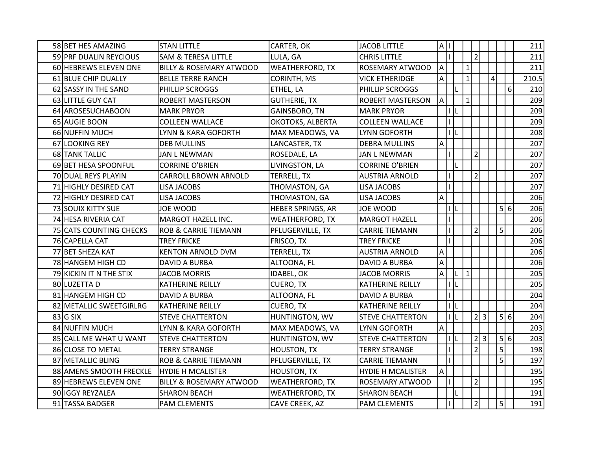| 58 BET HES AMAZING      | <b>STAN LITTLE</b>                 | CARTER, OK             | <b>JACOB LITTLE</b>      | AI             |   |                |     |           |                |   | 211   |
|-------------------------|------------------------------------|------------------------|--------------------------|----------------|---|----------------|-----|-----------|----------------|---|-------|
| 59 PRF DUALIN REYCIOUS  | <b>SAM &amp; TERESA LITTLE</b>     | LULA, GA               | <b>CHRIS LITTLE</b>      |                |   | $\overline{2}$ |     |           |                |   | 211   |
| 60 HEBREWS ELEVEN ONE   | <b>BILLY &amp; ROSEMARY ATWOOD</b> | <b>WEATHERFORD, TX</b> | ROSEMARY ATWOOD          | A              |   | 1              |     |           |                |   | 211   |
| 61 BLUE CHIP DUALLY     | <b>BELLE TERRE RANCH</b>           | <b>CORINTH, MS</b>     | <b>VICK ETHERIDGE</b>    | A              |   | 1              |     | $\pmb{4}$ |                |   | 210.5 |
| 62 SASSY IN THE SAND    | PHILLIP SCROGGS                    | ETHEL, LA              | PHILLIP SCROGGS          |                |   |                |     |           |                | 6 | 210   |
| 63 LITTLE GUY CAT       | <b>ROBERT MASTERSON</b>            | <b>GUTHERIE, TX</b>    | ROBERT MASTERSON         | $\overline{A}$ |   | 1              |     |           |                |   | 209   |
| 64 AROSESUCHABOON       | <b>MARK PRYOR</b>                  | GAINSBORO, TN          | <b>MARK PRYOR</b>        |                |   |                |     |           |                |   | 209   |
| 65 AUGIE BOON           | <b>COLLEEN WALLACE</b>             | OKOTOKS, ALBERTA       | <b>COLLEEN WALLACE</b>   |                |   |                |     |           |                |   | 209   |
| 66 NUFFIN MUCH          | LYNN & KARA GOFORTH                | MAX MEADOWS, VA        | LYNN GOFORTH             |                |   |                |     |           |                |   | 208   |
| 67 LOOKING REY          | <b>DEB MULLINS</b>                 | LANCASTER, TX          | <b>DEBRA MULLINS</b>     | A              |   |                |     |           |                |   | 207   |
| 68 TANK TALLIC          | <b>JAN L NEWMAN</b>                | ROSEDALE, LA           | <b>JAN L NEWMAN</b>      |                |   | $\overline{2}$ |     |           |                |   | 207   |
| 69 BET HESA SPOONFUL    | <b>CORRINE O'BRIEN</b>             | LIVINGSTON, LA         | <b>CORRINE O'BRIEN</b>   |                |   |                |     |           |                |   | 207   |
| 70 DUAL REYS PLAYIN     | <b>CARROLL BROWN ARNOLD</b>        | TERRELL, TX            | <b>AUSTRIA ARNOLD</b>    |                |   | $\overline{2}$ |     |           |                |   | 207   |
| 71 HIGHLY DESIRED CAT   | <b>LISA JACOBS</b>                 | THOMASTON, GA          | <b>LISA JACOBS</b>       |                |   |                |     |           |                |   | 207   |
| 72 HIGHLY DESIRED CAT   | LISA JACOBS                        | THOMASTON, GA          | LISA JACOBS              | Α              |   |                |     |           |                |   | 206   |
| 73 SOUIX KITTY SUE      | JOE WOOD                           | HEBER SPRINGS, AR      | JOE WOOD                 |                | L |                |     |           | 5 6            |   | 206   |
| 74 HESA RIVERIA CAT     | MARGOT HAZELL INC.                 | <b>WEATHERFORD, TX</b> | <b>MARGOT HAZELL</b>     |                |   |                |     |           |                |   | 206   |
| 75 CATS COUNTING CHECKS | <b>ROB &amp; CARRIE TIEMANN</b>    | PFLUGERVILLE, TX       | <b>CARRIE TIEMANN</b>    |                |   | $\overline{2}$ |     |           | 5 <sup>1</sup> |   | 206   |
| 76 CAPELLA CAT          | <b>TREY FRICKE</b>                 | FRISCO, TX             | <b>TREY FRICKE</b>       |                |   |                |     |           |                |   | 206   |
| 77 BET SHEZA KAT        | <b>KENTON ARNOLD DVM</b>           | TERRELL, TX            | <b>AUSTRIA ARNOLD</b>    | A              |   |                |     |           |                |   | 206   |
| 78 HANGEM HIGH CD       | DAVID A BURBA                      | ALTOONA, FL            | DAVID A BURBA            | Α              |   |                |     |           |                |   | 206   |
| 79 KICKIN IT N THE STIX | <b>JACOB MORRIS</b>                | IDABEL, OK             | <b>JACOB MORRIS</b>      | A              |   | 1              |     |           |                |   | 205   |
| 80 LUZETTA D            | KATHERINE REILLY                   | CUERO, TX              | KATHERINE REILLY         |                |   |                |     |           |                |   | 205   |
| 81 HANGEM HIGH CD       | DAVID A BURBA                      | ALTOONA, FL            | DAVID A BURBA            |                |   |                |     |           |                |   | 204   |
| 82 METALLIC SWEETGIRLRG | <b>KATHERINE REILLY</b>            | <b>CUERO, TX</b>       | KATHERINE REILLY         |                |   |                |     |           |                |   | 204   |
| $83$ G SIX              | <b>STEVE CHATTERTON</b>            | HUNTINGTON, WV         | <b>STEVE CHATTERTON</b>  |                |   |                | 2 3 |           | 5 6            |   | 204   |
| 84 NUFFIN MUCH          | LYNN & KARA GOFORTH                | MAX MEADOWS, VA        | <b>LYNN GOFORTH</b>      | A              |   |                |     |           |                |   | 203   |
| 85 CALL ME WHAT U WANT  | <b>STEVE CHATTERTON</b>            | HUNTINGTON, WV         | <b>STEVE CHATTERTON</b>  |                |   |                | 2 3 |           | 5 6            |   | 203   |
| 86 CLOSE TO METAL       | <b>TERRY STRANGE</b>               | <b>HOUSTON, TX</b>     | <b>TERRY STRANGE</b>     |                |   | $\overline{2}$ |     |           | 5              |   | 198   |
| 87 METALLIC BLING       | ROB & CARRIE TIEMANN               | PFLUGERVILLE, TX       | <b>CARRIE TIEMANN</b>    |                |   |                |     |           | $\overline{5}$ |   | 197   |
| 88 AMENS SMOOTH FRECKLE | <b>HYDIE H MCALISTER</b>           | <b>HOUSTON, TX</b>     | <b>HYDIE H MCALISTER</b> | A              |   |                |     |           |                |   | 195   |
| 89 HEBREWS ELEVEN ONE   | BILLY & ROSEMARY ATWOOD            | <b>WEATHERFORD, TX</b> | ROSEMARY ATWOOD          |                |   | $\overline{2}$ |     |           |                |   | 195   |
| 90 IGGY REYZALEA        | <b>SHARON BEACH</b>                | <b>WEATHERFORD, TX</b> | <b>SHARON BEACH</b>      |                |   |                |     |           |                |   | 191   |
| 91 TASSA BADGER         | <b>PAM CLEMENTS</b>                | CAVE CREEK, AZ         | <b>PAM CLEMENTS</b>      |                |   | $\overline{2}$ |     |           | 5 <sup>1</sup> |   | 191   |